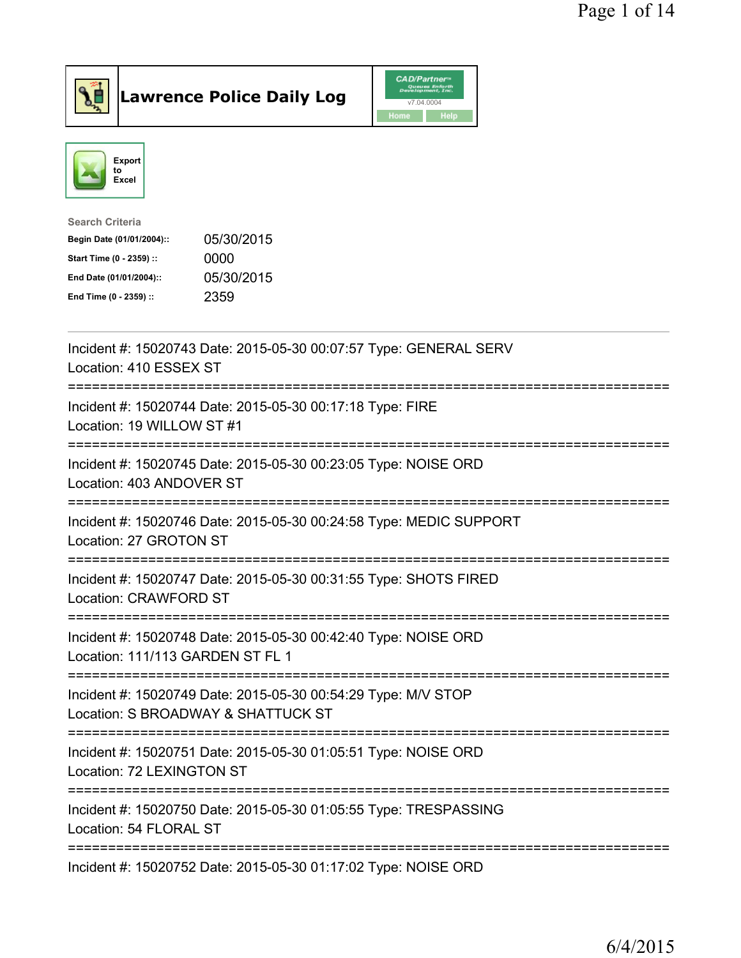





| <b>Search Criteria</b>    |            |
|---------------------------|------------|
| Begin Date (01/01/2004):: | 05/30/2015 |
| Start Time (0 - 2359) ::  | 0000       |
| End Date (01/01/2004)::   | 05/30/2015 |
| End Time (0 - 2359) ::    | 2359       |
|                           |            |

| Incident #: 15020743 Date: 2015-05-30 00:07:57 Type: GENERAL SERV<br>Location: 410 ESSEX ST                                         |
|-------------------------------------------------------------------------------------------------------------------------------------|
| Incident #: 15020744 Date: 2015-05-30 00:17:18 Type: FIRE<br>Location: 19 WILLOW ST #1                                              |
| Incident #: 15020745 Date: 2015-05-30 00:23:05 Type: NOISE ORD<br>Location: 403 ANDOVER ST<br>---------------                       |
| Incident #: 15020746 Date: 2015-05-30 00:24:58 Type: MEDIC SUPPORT<br>Location: 27 GROTON ST                                        |
| Incident #: 15020747 Date: 2015-05-30 00:31:55 Type: SHOTS FIRED<br>Location: CRAWFORD ST                                           |
| Incident #: 15020748 Date: 2015-05-30 00:42:40 Type: NOISE ORD<br>Location: 111/113 GARDEN ST FL 1                                  |
| Incident #: 15020749 Date: 2015-05-30 00:54:29 Type: M/V STOP<br>Location: S BROADWAY & SHATTUCK ST<br>============================ |
| :==============================<br>Incident #: 15020751 Date: 2015-05-30 01:05:51 Type: NOISE ORD<br>Location: 72 LEXINGTON ST      |
| Incident #: 15020750 Date: 2015-05-30 01:05:55 Type: TRESPASSING<br>Location: 54 FLORAL ST                                          |
| Incident #: 15020752 Date: 2015-05-30 01:17:02 Type: NOISE ORD                                                                      |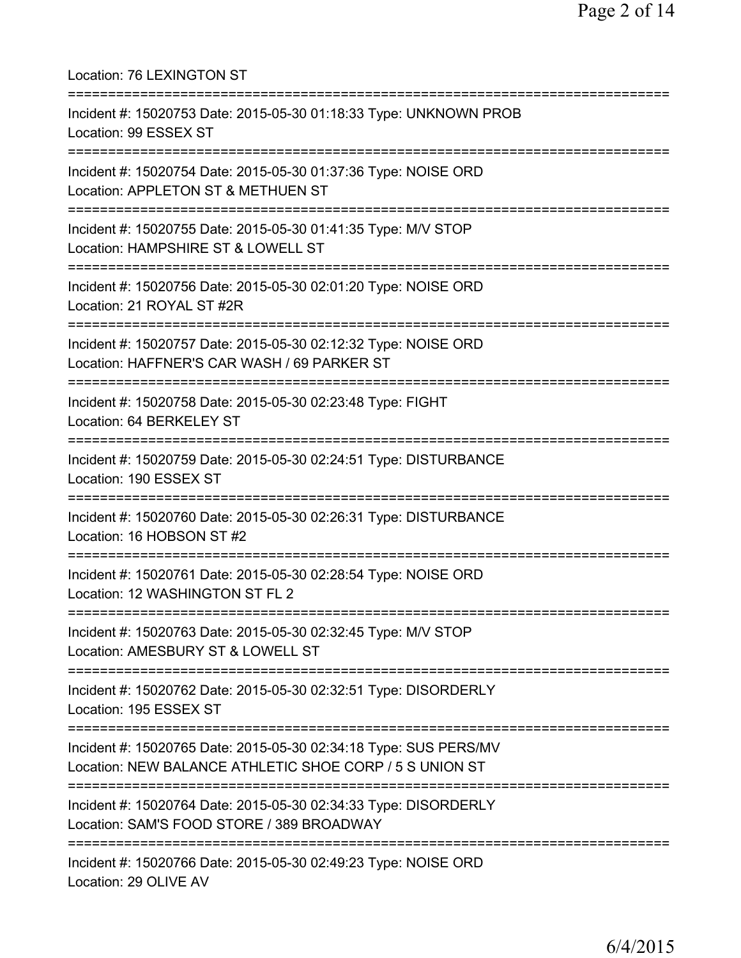| Location: 76 LEXINGTON ST<br>=======================                                                                                     |
|------------------------------------------------------------------------------------------------------------------------------------------|
| Incident #: 15020753 Date: 2015-05-30 01:18:33 Type: UNKNOWN PROB<br>Location: 99 ESSEX ST<br>====================================       |
| Incident #: 15020754 Date: 2015-05-30 01:37:36 Type: NOISE ORD<br>Location: APPLETON ST & METHUEN ST                                     |
| Incident #: 15020755 Date: 2015-05-30 01:41:35 Type: M/V STOP<br>Location: HAMPSHIRE ST & LOWELL ST<br>=======================           |
| Incident #: 15020756 Date: 2015-05-30 02:01:20 Type: NOISE ORD<br>Location: 21 ROYAL ST #2R                                              |
| Incident #: 15020757 Date: 2015-05-30 02:12:32 Type: NOISE ORD<br>Location: HAFFNER'S CAR WASH / 69 PARKER ST                            |
| Incident #: 15020758 Date: 2015-05-30 02:23:48 Type: FIGHT<br>Location: 64 BERKELEY ST                                                   |
| Incident #: 15020759 Date: 2015-05-30 02:24:51 Type: DISTURBANCE<br>Location: 190 ESSEX ST                                               |
| Incident #: 15020760 Date: 2015-05-30 02:26:31 Type: DISTURBANCE<br>Location: 16 HOBSON ST #2                                            |
| Incident #: 15020761 Date: 2015-05-30 02:28:54 Type: NOISE ORD<br>Location: 12 WASHINGTON ST FL 2<br>=================================== |
| Incident #: 15020763 Date: 2015-05-30 02:32:45 Type: M/V STOP<br>Location: AMESBURY ST & LOWELL ST                                       |
| Incident #: 15020762 Date: 2015-05-30 02:32:51 Type: DISORDERLY<br>Location: 195 ESSEX ST                                                |
| Incident #: 15020765 Date: 2015-05-30 02:34:18 Type: SUS PERS/MV<br>Location: NEW BALANCE ATHLETIC SHOE CORP / 5 S UNION ST              |
| Incident #: 15020764 Date: 2015-05-30 02:34:33 Type: DISORDERLY<br>Location: SAM'S FOOD STORE / 389 BROADWAY                             |
| Incident #: 15020766 Date: 2015-05-30 02:49:23 Type: NOISE ORD<br>Location: 29 OLIVE AV                                                  |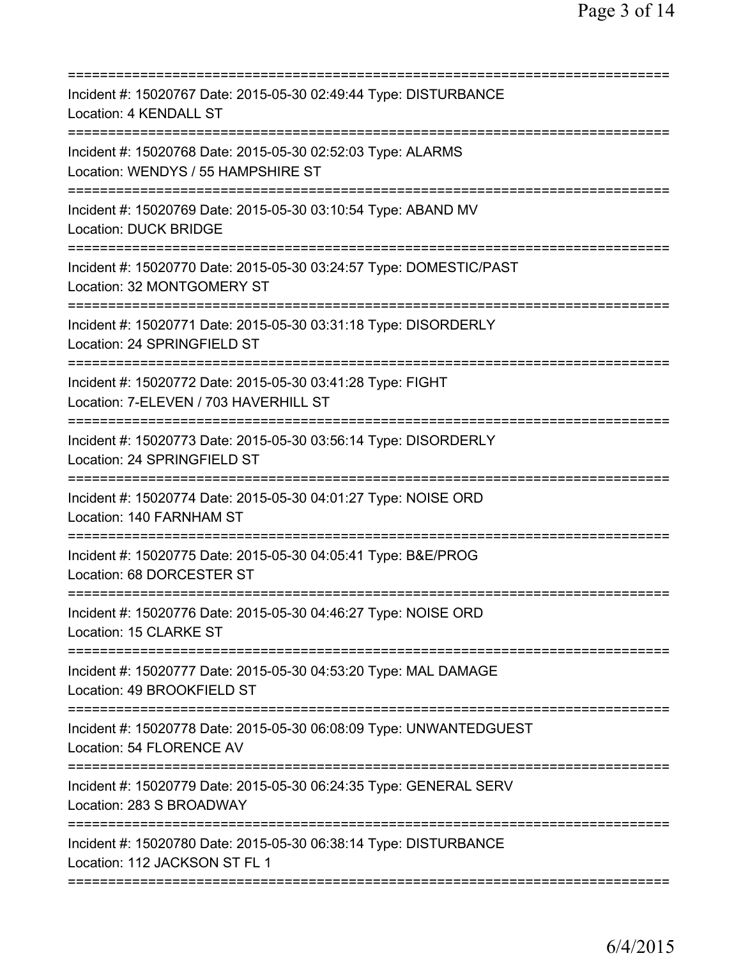| Incident #: 15020767 Date: 2015-05-30 02:49:44 Type: DISTURBANCE<br>Location: 4 KENDALL ST          |
|-----------------------------------------------------------------------------------------------------|
| Incident #: 15020768 Date: 2015-05-30 02:52:03 Type: ALARMS<br>Location: WENDYS / 55 HAMPSHIRE ST   |
| Incident #: 15020769 Date: 2015-05-30 03:10:54 Type: ABAND MV<br><b>Location: DUCK BRIDGE</b>       |
| Incident #: 15020770 Date: 2015-05-30 03:24:57 Type: DOMESTIC/PAST<br>Location: 32 MONTGOMERY ST    |
| Incident #: 15020771 Date: 2015-05-30 03:31:18 Type: DISORDERLY<br>Location: 24 SPRINGFIELD ST      |
| Incident #: 15020772 Date: 2015-05-30 03:41:28 Type: FIGHT<br>Location: 7-ELEVEN / 703 HAVERHILL ST |
| Incident #: 15020773 Date: 2015-05-30 03:56:14 Type: DISORDERLY<br>Location: 24 SPRINGFIELD ST      |
| Incident #: 15020774 Date: 2015-05-30 04:01:27 Type: NOISE ORD<br>Location: 140 FARNHAM ST          |
| Incident #: 15020775 Date: 2015-05-30 04:05:41 Type: B&E/PROG<br>Location: 68 DORCESTER ST          |
| Incident #: 15020776 Date: 2015-05-30 04:46:27 Type: NOISE ORD<br>Location: 15 CLARKE ST            |
| Incident #: 15020777 Date: 2015-05-30 04:53:20 Type: MAL DAMAGE<br>Location: 49 BROOKFIELD ST       |
| Incident #: 15020778 Date: 2015-05-30 06:08:09 Type: UNWANTEDGUEST<br>Location: 54 FLORENCE AV      |
| Incident #: 15020779 Date: 2015-05-30 06:24:35 Type: GENERAL SERV<br>Location: 283 S BROADWAY       |
| Incident #: 15020780 Date: 2015-05-30 06:38:14 Type: DISTURBANCE<br>Location: 112 JACKSON ST FL 1   |
|                                                                                                     |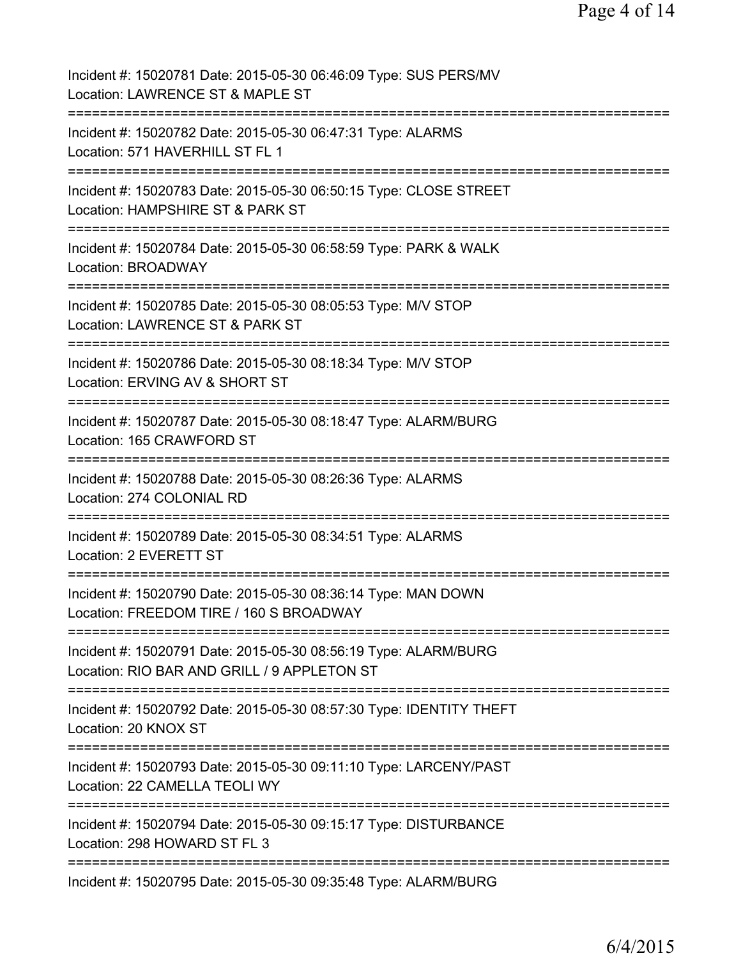| Incident #: 15020781 Date: 2015-05-30 06:46:09 Type: SUS PERS/MV<br>Location: LAWRENCE ST & MAPLE ST                                                                     |
|--------------------------------------------------------------------------------------------------------------------------------------------------------------------------|
| Incident #: 15020782 Date: 2015-05-30 06:47:31 Type: ALARMS<br>Location: 571 HAVERHILL ST FL 1                                                                           |
| Incident #: 15020783 Date: 2015-05-30 06:50:15 Type: CLOSE STREET<br>Location: HAMPSHIRE ST & PARK ST                                                                    |
| Incident #: 15020784 Date: 2015-05-30 06:58:59 Type: PARK & WALK<br>Location: BROADWAY                                                                                   |
| Incident #: 15020785 Date: 2015-05-30 08:05:53 Type: M/V STOP<br>Location: LAWRENCE ST & PARK ST                                                                         |
| Incident #: 15020786 Date: 2015-05-30 08:18:34 Type: M/V STOP<br>Location: ERVING AV & SHORT ST                                                                          |
| Incident #: 15020787 Date: 2015-05-30 08:18:47 Type: ALARM/BURG<br>Location: 165 CRAWFORD ST                                                                             |
| Incident #: 15020788 Date: 2015-05-30 08:26:36 Type: ALARMS<br>Location: 274 COLONIAL RD                                                                                 |
| ===============<br>Incident #: 15020789 Date: 2015-05-30 08:34:51 Type: ALARMS<br>Location: 2 EVERETT ST                                                                 |
| Incident #: 15020790 Date: 2015-05-30 08:36:14 Type: MAN DOWN<br>Location: FREEDOM TIRE / 160 S BROADWAY                                                                 |
| Incident #: 15020791 Date: 2015-05-30 08:56:19 Type: ALARM/BURG<br>Location: RIO BAR AND GRILL / 9 APPLETON ST                                                           |
| ================================<br>=====================================<br>Incident #: 15020792 Date: 2015-05-30 08:57:30 Type: IDENTITY THEFT<br>Location: 20 KNOX ST |
| Incident #: 15020793 Date: 2015-05-30 09:11:10 Type: LARCENY/PAST<br>Location: 22 CAMELLA TEOLI WY                                                                       |
| Incident #: 15020794 Date: 2015-05-30 09:15:17 Type: DISTURBANCE<br>Location: 298 HOWARD ST FL 3                                                                         |
| Incident #: 15020795 Date: 2015-05-30 09:35:48 Type: ALARM/BURG                                                                                                          |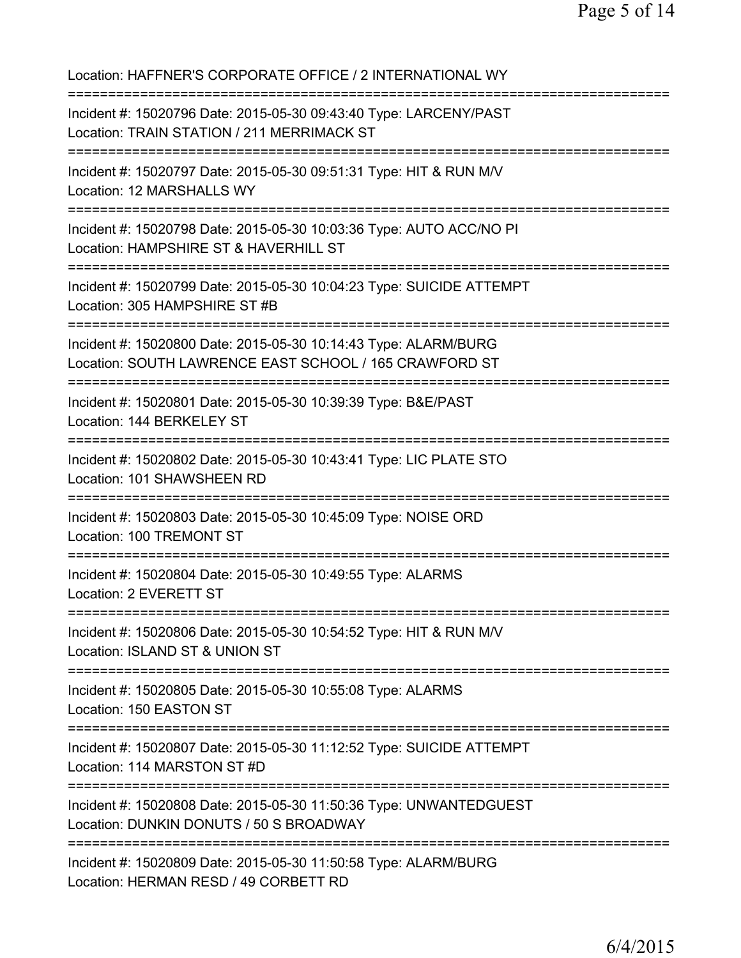Location: HAFFNER'S CORPORATE OFFICE / 2 INTERNATIONAL WY =========================================================================== Incident #: 15020796 Date: 2015-05-30 09:43:40 Type: LARCENY/PAST Location: TRAIN STATION / 211 MERRIMACK ST =========================================================================== Incident #: 15020797 Date: 2015-05-30 09:51:31 Type: HIT & RUN M/V Location: 12 MARSHALLS WY =========================================================================== Incident #: 15020798 Date: 2015-05-30 10:03:36 Type: AUTO ACC/NO PI Location: HAMPSHIRE ST & HAVERHILL ST =========================================================================== Incident #: 15020799 Date: 2015-05-30 10:04:23 Type: SUICIDE ATTEMPT Location: 305 HAMPSHIRE ST #B =========================================================================== Incident #: 15020800 Date: 2015-05-30 10:14:43 Type: ALARM/BURG Location: SOUTH LAWRENCE EAST SCHOOL / 165 CRAWFORD ST =========================================================================== Incident #: 15020801 Date: 2015-05-30 10:39:39 Type: B&E/PAST Location: 144 BERKELEY ST =========================================================================== Incident #: 15020802 Date: 2015-05-30 10:43:41 Type: LIC PLATE STO Location: 101 SHAWSHEEN RD =========================================================================== Incident #: 15020803 Date: 2015-05-30 10:45:09 Type: NOISE ORD Location: 100 TREMONT ST =========================================================================== Incident #: 15020804 Date: 2015-05-30 10:49:55 Type: ALARMS Location: 2 EVERETT ST =========================================================================== Incident #: 15020806 Date: 2015-05-30 10:54:52 Type: HIT & RUN M/V Location: ISLAND ST & UNION ST =========================================================================== Incident #: 15020805 Date: 2015-05-30 10:55:08 Type: ALARMS Location: 150 EASTON ST =========================================================================== Incident #: 15020807 Date: 2015-05-30 11:12:52 Type: SUICIDE ATTEMPT Location: 114 MARSTON ST #D =========================================================================== Incident #: 15020808 Date: 2015-05-30 11:50:36 Type: UNWANTEDGUEST Location: DUNKIN DONUTS / 50 S BROADWAY =========================================================================== Incident #: 15020809 Date: 2015-05-30 11:50:58 Type: ALARM/BURG Location: HERMAN RESD / 49 CORBETT RD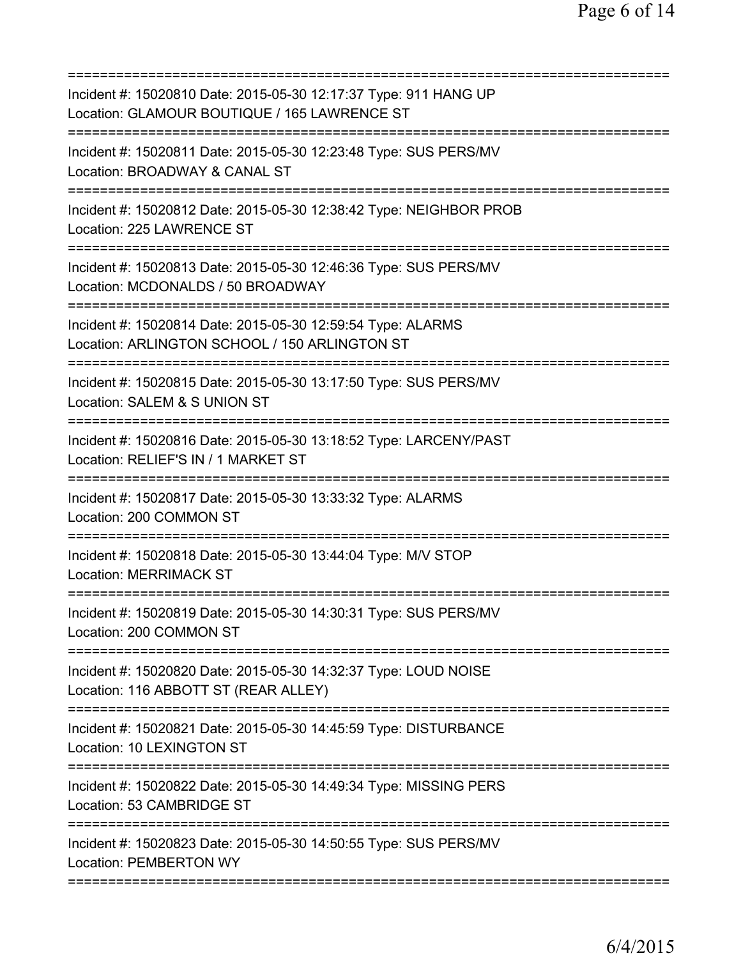| Incident #: 15020810 Date: 2015-05-30 12:17:37 Type: 911 HANG UP<br>Location: GLAMOUR BOUTIQUE / 165 LAWRENCE ST                      |
|---------------------------------------------------------------------------------------------------------------------------------------|
| Incident #: 15020811 Date: 2015-05-30 12:23:48 Type: SUS PERS/MV<br>Location: BROADWAY & CANAL ST                                     |
| Incident #: 15020812 Date: 2015-05-30 12:38:42 Type: NEIGHBOR PROB<br>Location: 225 LAWRENCE ST                                       |
| Incident #: 15020813 Date: 2015-05-30 12:46:36 Type: SUS PERS/MV<br>Location: MCDONALDS / 50 BROADWAY                                 |
| Incident #: 15020814 Date: 2015-05-30 12:59:54 Type: ALARMS<br>Location: ARLINGTON SCHOOL / 150 ARLINGTON ST                          |
| Incident #: 15020815 Date: 2015-05-30 13:17:50 Type: SUS PERS/MV<br>Location: SALEM & S UNION ST                                      |
| =========<br>Incident #: 15020816 Date: 2015-05-30 13:18:52 Type: LARCENY/PAST<br>Location: RELIEF'S IN / 1 MARKET ST                 |
| Incident #: 15020817 Date: 2015-05-30 13:33:32 Type: ALARMS<br>Location: 200 COMMON ST<br>=============================               |
| Incident #: 15020818 Date: 2015-05-30 13:44:04 Type: M/V STOP<br><b>Location: MERRIMACK ST</b>                                        |
| Incident #: 15020819 Date: 2015-05-30 14:30:31 Type: SUS PERS/MV<br>Location: 200 COMMON ST                                           |
| ==========================<br>Incident #: 15020820 Date: 2015-05-30 14:32:37 Type: LOUD NOISE<br>Location: 116 ABBOTT ST (REAR ALLEY) |
| Incident #: 15020821 Date: 2015-05-30 14:45:59 Type: DISTURBANCE<br>Location: 10 LEXINGTON ST                                         |
| Incident #: 15020822 Date: 2015-05-30 14:49:34 Type: MISSING PERS<br>Location: 53 CAMBRIDGE ST                                        |
| Incident #: 15020823 Date: 2015-05-30 14:50:55 Type: SUS PERS/MV<br><b>Location: PEMBERTON WY</b>                                     |
|                                                                                                                                       |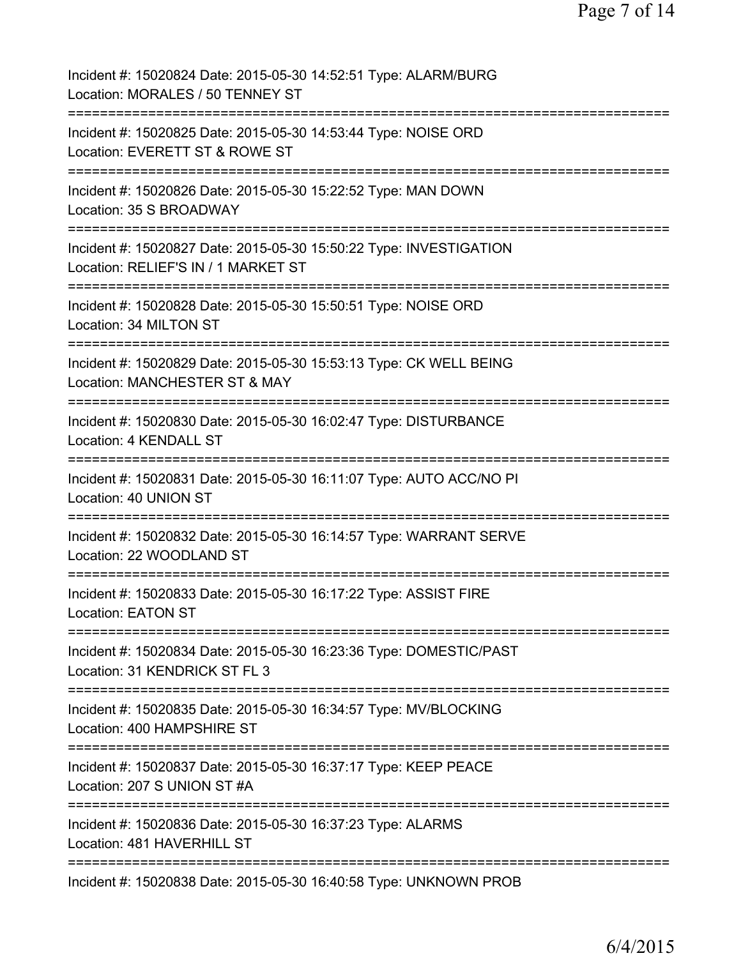| Incident #: 15020824 Date: 2015-05-30 14:52:51 Type: ALARM/BURG<br>Location: MORALES / 50 TENNEY ST                                                          |
|--------------------------------------------------------------------------------------------------------------------------------------------------------------|
| Incident #: 15020825 Date: 2015-05-30 14:53:44 Type: NOISE ORD<br>Location: EVERETT ST & ROWE ST                                                             |
| Incident #: 15020826 Date: 2015-05-30 15:22:52 Type: MAN DOWN<br>Location: 35 S BROADWAY                                                                     |
| Incident #: 15020827 Date: 2015-05-30 15:50:22 Type: INVESTIGATION<br>Location: RELIEF'S IN / 1 MARKET ST                                                    |
| Incident #: 15020828 Date: 2015-05-30 15:50:51 Type: NOISE ORD<br>Location: 34 MILTON ST<br>:============================                                    |
| Incident #: 15020829 Date: 2015-05-30 15:53:13 Type: CK WELL BEING<br>Location: MANCHESTER ST & MAY<br>:============                                         |
| Incident #: 15020830 Date: 2015-05-30 16:02:47 Type: DISTURBANCE<br>Location: 4 KENDALL ST<br>:=================================                             |
| Incident #: 15020831 Date: 2015-05-30 16:11:07 Type: AUTO ACC/NO PI<br>Location: 40 UNION ST<br>:====================                                        |
| Incident #: 15020832 Date: 2015-05-30 16:14:57 Type: WARRANT SERVE<br>Location: 22 WOODLAND ST                                                               |
| Incident #: 15020833 Date: 2015-05-30 16:17:22 Type: ASSIST FIRE<br>Location: EATON ST                                                                       |
| Incident #: 15020834 Date: 2015-05-30 16:23:36 Type: DOMESTIC/PAST<br>Location: 31 KENDRICK ST FL 3                                                          |
| Incident #: 15020835 Date: 2015-05-30 16:34:57 Type: MV/BLOCKING<br>Location: 400 HAMPSHIRE ST                                                               |
| Incident #: 15020837 Date: 2015-05-30 16:37:17 Type: KEEP PEACE<br>Location: 207 S UNION ST #A                                                               |
| :=============================<br>Incident #: 15020836 Date: 2015-05-30 16:37:23 Type: ALARMS<br>Location: 481 HAVERHILL ST<br>----------------------------- |
| Incident #: 15020838 Date: 2015-05-30 16:40:58 Type: UNKNOWN PROB                                                                                            |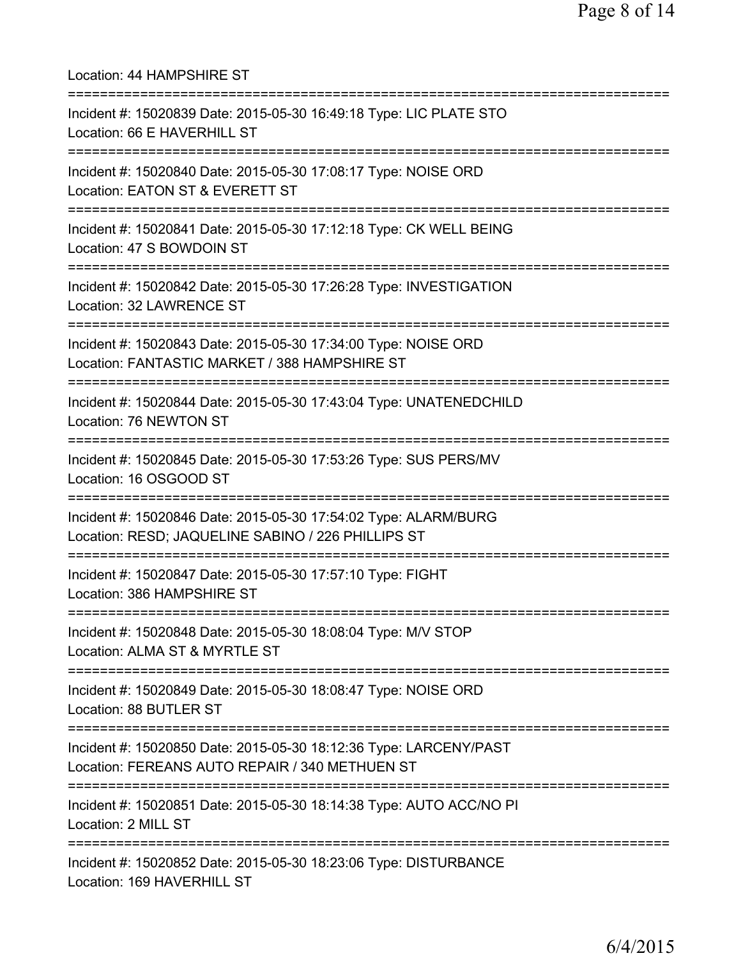Location: 44 HAMPSHIRE ST =========================================================================== Incident #: 15020839 Date: 2015-05-30 16:49:18 Type: LIC PLATE STO Location: 66 E HAVERHILL ST =========================================================================== Incident #: 15020840 Date: 2015-05-30 17:08:17 Type: NOISE ORD Location: EATON ST & EVERETT ST =========================================================================== Incident #: 15020841 Date: 2015-05-30 17:12:18 Type: CK WELL BEING Location: 47 S BOWDOIN ST =========================================================================== Incident #: 15020842 Date: 2015-05-30 17:26:28 Type: INVESTIGATION Location: 32 LAWRENCE ST =========================================================================== Incident #: 15020843 Date: 2015-05-30 17:34:00 Type: NOISE ORD Location: FANTASTIC MARKET / 388 HAMPSHIRE ST =========================================================================== Incident #: 15020844 Date: 2015-05-30 17:43:04 Type: UNATENEDCHILD Location: 76 NEWTON ST =========================================================================== Incident #: 15020845 Date: 2015-05-30 17:53:26 Type: SUS PERS/MV Location: 16 OSGOOD ST =========================================================================== Incident #: 15020846 Date: 2015-05-30 17:54:02 Type: ALARM/BURG Location: RESD; JAQUELINE SABINO / 226 PHILLIPS ST =========================================================================== Incident #: 15020847 Date: 2015-05-30 17:57:10 Type: FIGHT Location: 386 HAMPSHIRE ST =========================================================================== Incident #: 15020848 Date: 2015-05-30 18:08:04 Type: M/V STOP Location: ALMA ST & MYRTLE ST =========================================================================== Incident #: 15020849 Date: 2015-05-30 18:08:47 Type: NOISE ORD Location: 88 BUTLER ST =========================================================================== Incident #: 15020850 Date: 2015-05-30 18:12:36 Type: LARCENY/PAST Location: FEREANS AUTO REPAIR / 340 METHUEN ST =========================================================================== Incident #: 15020851 Date: 2015-05-30 18:14:38 Type: AUTO ACC/NO PI Location: 2 MILL ST =========================================================================== Incident #: 15020852 Date: 2015-05-30 18:23:06 Type: DISTURBANCE Location: 169 HAVERHILL ST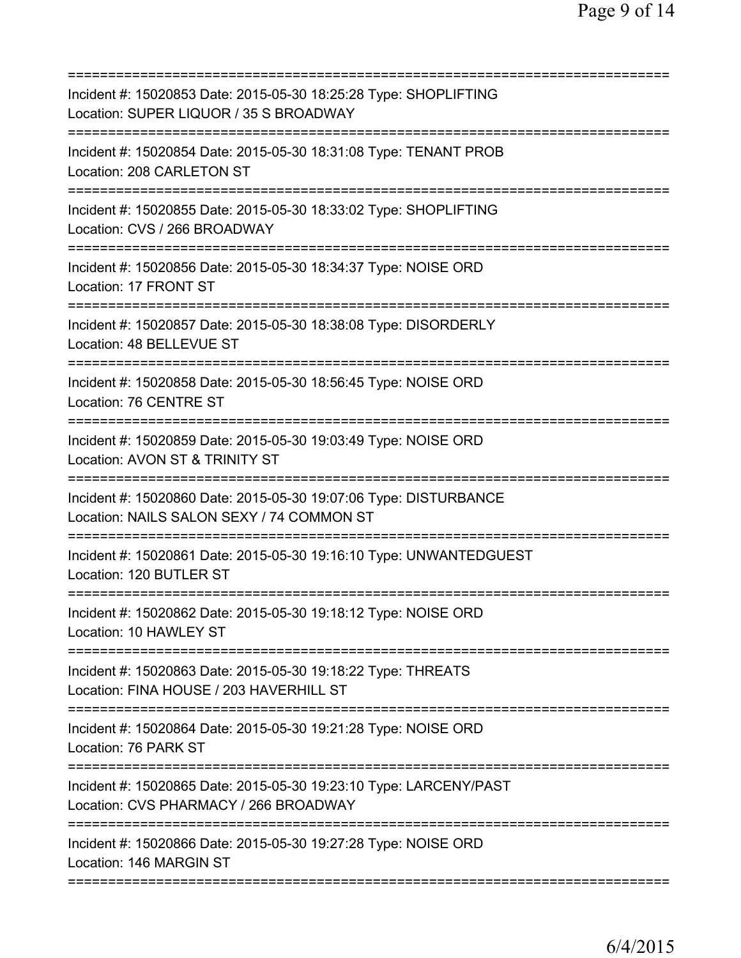| Incident #: 15020853 Date: 2015-05-30 18:25:28 Type: SHOPLIFTING<br>Location: SUPER LIQUOR / 35 S BROADWAY                                 |
|--------------------------------------------------------------------------------------------------------------------------------------------|
| Incident #: 15020854 Date: 2015-05-30 18:31:08 Type: TENANT PROB<br>Location: 208 CARLETON ST                                              |
| Incident #: 15020855 Date: 2015-05-30 18:33:02 Type: SHOPLIFTING<br>Location: CVS / 266 BROADWAY                                           |
| Incident #: 15020856 Date: 2015-05-30 18:34:37 Type: NOISE ORD<br>Location: 17 FRONT ST                                                    |
| Incident #: 15020857 Date: 2015-05-30 18:38:08 Type: DISORDERLY<br>Location: 48 BELLEVUE ST                                                |
| Incident #: 15020858 Date: 2015-05-30 18:56:45 Type: NOISE ORD<br>Location: 76 CENTRE ST                                                   |
| Incident #: 15020859 Date: 2015-05-30 19:03:49 Type: NOISE ORD<br>Location: AVON ST & TRINITY ST                                           |
| Incident #: 15020860 Date: 2015-05-30 19:07:06 Type: DISTURBANCE<br>Location: NAILS SALON SEXY / 74 COMMON ST<br>========================= |
| Incident #: 15020861 Date: 2015-05-30 19:16:10 Type: UNWANTEDGUEST<br>Location: 120 BUTLER ST                                              |
| Incident #: 15020862 Date: 2015-05-30 19:18:12 Type: NOISE ORD<br>Location: 10 HAWLEY ST                                                   |
| Incident #: 15020863 Date: 2015-05-30 19:18:22 Type: THREATS<br>Location: FINA HOUSE / 203 HAVERHILL ST                                    |
| Incident #: 15020864 Date: 2015-05-30 19:21:28 Type: NOISE ORD<br>Location: 76 PARK ST                                                     |
| Incident #: 15020865 Date: 2015-05-30 19:23:10 Type: LARCENY/PAST<br>Location: CVS PHARMACY / 266 BROADWAY                                 |
| Incident #: 15020866 Date: 2015-05-30 19:27:28 Type: NOISE ORD<br>Location: 146 MARGIN ST                                                  |
|                                                                                                                                            |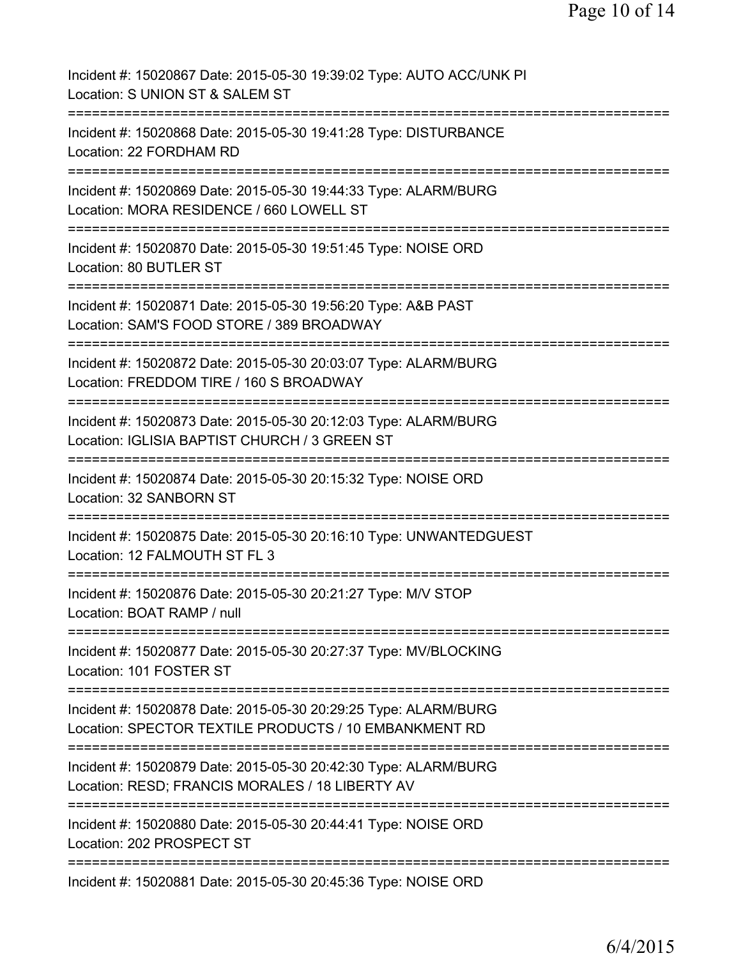Incident #: 15020867 Date: 2015-05-30 19:39:02 Type: AUTO ACC/UNK PI Location: S UNION ST & SALEM ST =========================================================================== Incident #: 15020868 Date: 2015-05-30 19:41:28 Type: DISTURBANCE Location: 22 FORDHAM RD =========================================================================== Incident #: 15020869 Date: 2015-05-30 19:44:33 Type: ALARM/BURG Location: MORA RESIDENCE / 660 LOWELL ST =========================================================================== Incident #: 15020870 Date: 2015-05-30 19:51:45 Type: NOISE ORD Location: 80 BUTLER ST =========================================================================== Incident #: 15020871 Date: 2015-05-30 19:56:20 Type: A&B PAST Location: SAM'S FOOD STORE / 389 BROADWAY =========================================================================== Incident #: 15020872 Date: 2015-05-30 20:03:07 Type: ALARM/BURG Location: FREDDOM TIRE / 160 S BROADWAY =========================================================================== Incident #: 15020873 Date: 2015-05-30 20:12:03 Type: ALARM/BURG Location: IGLISIA BAPTIST CHURCH / 3 GREEN ST =========================================================================== Incident #: 15020874 Date: 2015-05-30 20:15:32 Type: NOISE ORD Location: 32 SANBORN ST =========================================================================== Incident #: 15020875 Date: 2015-05-30 20:16:10 Type: UNWANTEDGUEST Location: 12 FALMOUTH ST FL 3 =========================================================================== Incident #: 15020876 Date: 2015-05-30 20:21:27 Type: M/V STOP Location: BOAT RAMP / null =========================================================================== Incident #: 15020877 Date: 2015-05-30 20:27:37 Type: MV/BLOCKING Location: 101 FOSTER ST =========================================================================== Incident #: 15020878 Date: 2015-05-30 20:29:25 Type: ALARM/BURG Location: SPECTOR TEXTILE PRODUCTS / 10 EMBANKMENT RD =========================================================================== Incident #: 15020879 Date: 2015-05-30 20:42:30 Type: ALARM/BURG Location: RESD; FRANCIS MORALES / 18 LIBERTY AV =========================================================================== Incident #: 15020880 Date: 2015-05-30 20:44:41 Type: NOISE ORD Location: 202 PROSPECT ST =========================================================================== Incident #: 15020881 Date: 2015-05-30 20:45:36 Type: NOISE ORD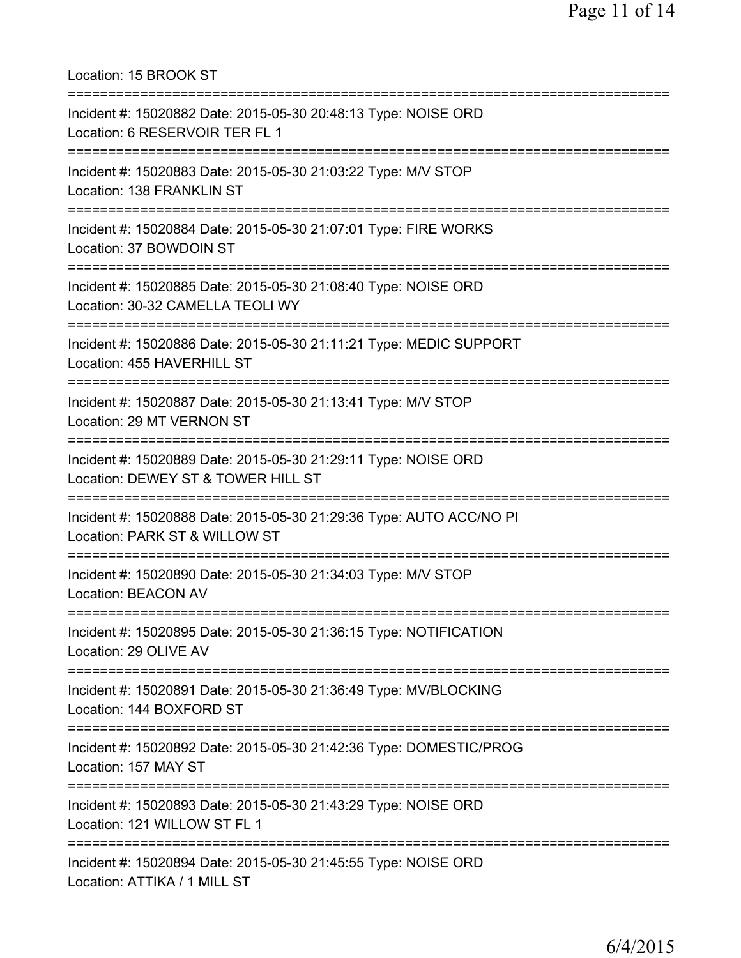Location: 15 BROOK ST =========================================================================== Incident #: 15020882 Date: 2015-05-30 20:48:13 Type: NOISE ORD Location: 6 RESERVOIR TER FL 1 =========================================================================== Incident #: 15020883 Date: 2015-05-30 21:03:22 Type: M/V STOP Location: 138 FRANKLIN ST =========================================================================== Incident #: 15020884 Date: 2015-05-30 21:07:01 Type: FIRE WORKS Location: 37 BOWDOIN ST =========================================================================== Incident #: 15020885 Date: 2015-05-30 21:08:40 Type: NOISE ORD Location: 30-32 CAMELLA TEOLI WY =========================================================================== Incident #: 15020886 Date: 2015-05-30 21:11:21 Type: MEDIC SUPPORT Location: 455 HAVERHILL ST =========================================================================== Incident #: 15020887 Date: 2015-05-30 21:13:41 Type: M/V STOP Location: 29 MT VERNON ST =========================================================================== Incident #: 15020889 Date: 2015-05-30 21:29:11 Type: NOISE ORD Location: DEWEY ST & TOWER HILL ST =========================================================================== Incident #: 15020888 Date: 2015-05-30 21:29:36 Type: AUTO ACC/NO PI Location: PARK ST & WILLOW ST =========================================================================== Incident #: 15020890 Date: 2015-05-30 21:34:03 Type: M/V STOP Location: BEACON AV =========================================================================== Incident #: 15020895 Date: 2015-05-30 21:36:15 Type: NOTIFICATION Location: 29 OLIVE AV =========================================================================== Incident #: 15020891 Date: 2015-05-30 21:36:49 Type: MV/BLOCKING Location: 144 BOXFORD ST =========================================================================== Incident #: 15020892 Date: 2015-05-30 21:42:36 Type: DOMESTIC/PROG Location: 157 MAY ST =========================================================================== Incident #: 15020893 Date: 2015-05-30 21:43:29 Type: NOISE ORD Location: 121 WILLOW ST FL 1 =========================================================================== Incident #: 15020894 Date: 2015-05-30 21:45:55 Type: NOISE ORD Location: ATTIKA / 1 MILL ST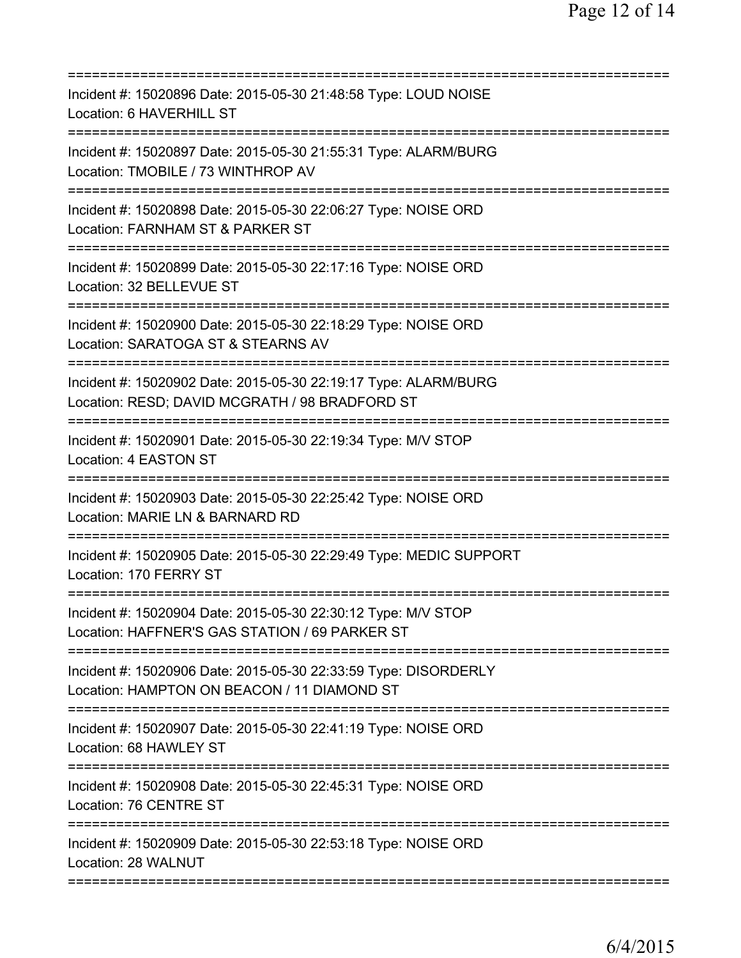| Incident #: 15020896 Date: 2015-05-30 21:48:58 Type: LOUD NOISE<br>Location: 6 HAVERHILL ST                                              |
|------------------------------------------------------------------------------------------------------------------------------------------|
| Incident #: 15020897 Date: 2015-05-30 21:55:31 Type: ALARM/BURG<br>Location: TMOBILE / 73 WINTHROP AV                                    |
| Incident #: 15020898 Date: 2015-05-30 22:06:27 Type: NOISE ORD<br>Location: FARNHAM ST & PARKER ST<br>========================           |
| Incident #: 15020899 Date: 2015-05-30 22:17:16 Type: NOISE ORD<br>Location: 32 BELLEVUE ST                                               |
| Incident #: 15020900 Date: 2015-05-30 22:18:29 Type: NOISE ORD<br>Location: SARATOGA ST & STEARNS AV<br>:=========================       |
| Incident #: 15020902 Date: 2015-05-30 22:19:17 Type: ALARM/BURG<br>Location: RESD; DAVID MCGRATH / 98 BRADFORD ST<br>------------------- |
| Incident #: 15020901 Date: 2015-05-30 22:19:34 Type: M/V STOP<br>Location: 4 EASTON ST                                                   |
| Incident #: 15020903 Date: 2015-05-30 22:25:42 Type: NOISE ORD<br>Location: MARIE LN & BARNARD RD                                        |
| Incident #: 15020905 Date: 2015-05-30 22:29:49 Type: MEDIC SUPPORT<br>Location: 170 FERRY ST                                             |
| Incident #: 15020904 Date: 2015-05-30 22:30:12 Type: M/V STOP<br>Location: HAFFNER'S GAS STATION / 69 PARKER ST                          |
| Incident #: 15020906 Date: 2015-05-30 22:33:59 Type: DISORDERLY<br>Location: HAMPTON ON BEACON / 11 DIAMOND ST                           |
| Incident #: 15020907 Date: 2015-05-30 22:41:19 Type: NOISE ORD<br>Location: 68 HAWLEY ST                                                 |
| Incident #: 15020908 Date: 2015-05-30 22:45:31 Type: NOISE ORD<br>Location: 76 CENTRE ST                                                 |
| Incident #: 15020909 Date: 2015-05-30 22:53:18 Type: NOISE ORD<br>Location: 28 WALNUT                                                    |
|                                                                                                                                          |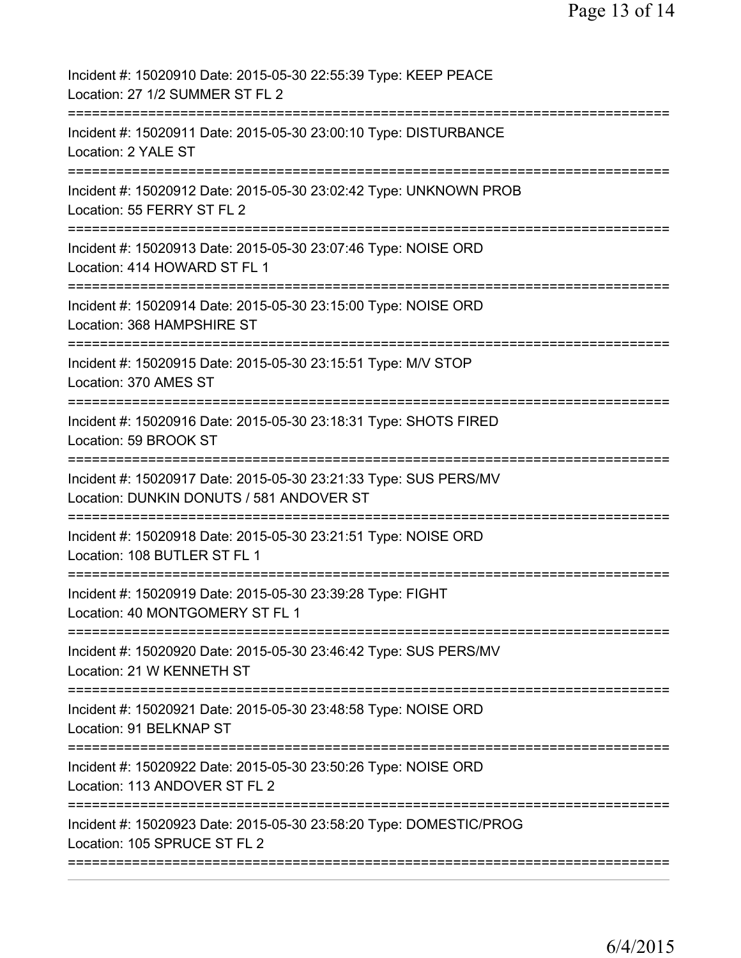| Incident #: 15020910 Date: 2015-05-30 22:55:39 Type: KEEP PEACE<br>Location: 27 1/2 SUMMER ST FL 2           |
|--------------------------------------------------------------------------------------------------------------|
| Incident #: 15020911 Date: 2015-05-30 23:00:10 Type: DISTURBANCE<br>Location: 2 YALE ST                      |
| Incident #: 15020912 Date: 2015-05-30 23:02:42 Type: UNKNOWN PROB<br>Location: 55 FERRY ST FL 2              |
| Incident #: 15020913 Date: 2015-05-30 23:07:46 Type: NOISE ORD<br>Location: 414 HOWARD ST FL 1               |
| Incident #: 15020914 Date: 2015-05-30 23:15:00 Type: NOISE ORD<br>Location: 368 HAMPSHIRE ST                 |
| Incident #: 15020915 Date: 2015-05-30 23:15:51 Type: M/V STOP<br>Location: 370 AMES ST                       |
| Incident #: 15020916 Date: 2015-05-30 23:18:31 Type: SHOTS FIRED<br>Location: 59 BROOK ST                    |
| Incident #: 15020917 Date: 2015-05-30 23:21:33 Type: SUS PERS/MV<br>Location: DUNKIN DONUTS / 581 ANDOVER ST |
| Incident #: 15020918 Date: 2015-05-30 23:21:51 Type: NOISE ORD<br>Location: 108 BUTLER ST FL 1               |
| Incident #: 15020919 Date: 2015-05-30 23:39:28 Type: FIGHT<br>Location: 40 MONTGOMERY ST FL 1                |
| Incident #: 15020920 Date: 2015-05-30 23:46:42 Type: SUS PERS/MV<br>Location: 21 W KENNETH ST                |
| Incident #: 15020921 Date: 2015-05-30 23:48:58 Type: NOISE ORD<br>Location: 91 BELKNAP ST                    |
| Incident #: 15020922 Date: 2015-05-30 23:50:26 Type: NOISE ORD<br>Location: 113 ANDOVER ST FL 2              |
| Incident #: 15020923 Date: 2015-05-30 23:58:20 Type: DOMESTIC/PROG<br>Location: 105 SPRUCE ST FL 2           |
|                                                                                                              |